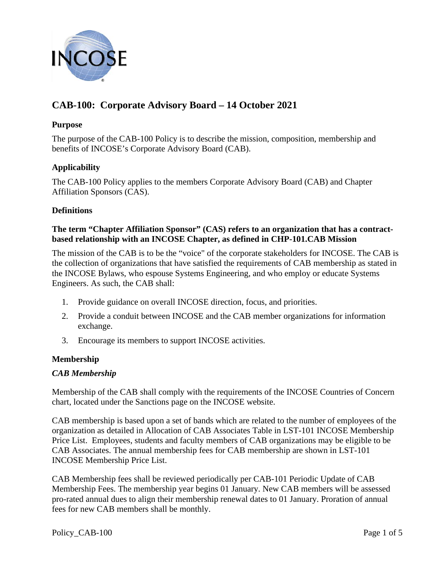

# **CAB-100: Corporate Advisory Board – 14 October 2021**

## **Purpose**

The purpose of the CAB-100 Policy is to describe the mission, composition, membership and benefits of INCOSE's Corporate Advisory Board (CAB).

# **Applicability**

The CAB-100 Policy applies to the members Corporate Advisory Board (CAB) and Chapter Affiliation Sponsors (CAS).

## **Definitions**

## **The term "Chapter Affiliation Sponsor" (CAS) refers to an organization that has a contractbased relationship with an INCOSE Chapter, as defined in CHP-101.CAB Mission**

The mission of the CAB is to be the "voice" of the corporate stakeholders for INCOSE. The CAB is the collection of organizations that have satisfied the requirements of CAB membership as stated in the INCOSE Bylaws, who espouse Systems Engineering, and who employ or educate Systems Engineers. As such, the CAB shall:

- 1. Provide guidance on overall INCOSE direction, focus, and priorities.
- 2. Provide a conduit between INCOSE and the CAB member organizations for information exchange.
- 3. Encourage its members to support INCOSE activities.

#### **Membership**

#### *CAB Membership*

Membership of the CAB shall comply with the requirements of the INCOSE Countries of Concern chart, located under the Sanctions page on the INCOSE website.

CAB membership is based upon a set of bands which are related to the number of employees of the organization as detailed in Allocation of CAB Associates Table in LST-101 INCOSE Membership Price List. Employees, students and faculty members of CAB organizations may be eligible to be CAB Associates. The annual membership fees for CAB membership are shown in LST-101 INCOSE Membership Price List.

CAB Membership fees shall be reviewed periodically per CAB-101 Periodic Update of CAB Membership Fees. The membership year begins 01 January. New CAB members will be assessed pro-rated annual dues to align their membership renewal dates to 01 January. Proration of annual fees for new CAB members shall be monthly.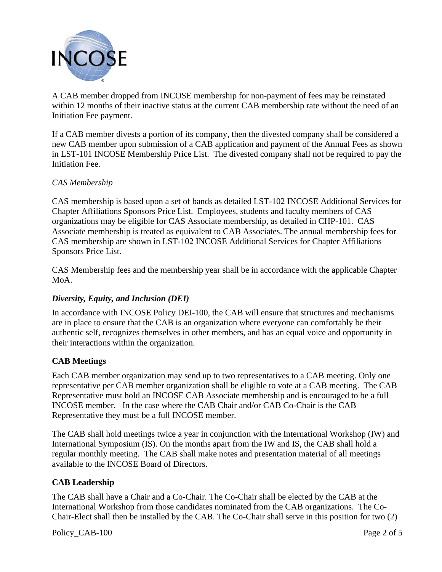

A CAB member dropped from INCOSE membership for non-payment of fees may be reinstated within 12 months of their inactive status at the current CAB membership rate without the need of an Initiation Fee payment.

If a CAB member divests a portion of its company, then the divested company shall be considered a new CAB member upon submission of a CAB application and payment of the Annual Fees as shown in LST-101 INCOSE Membership Price List. The divested company shall not be required to pay the Initiation Fee.

## *CAS Membership*

CAS membership is based upon a set of bands as detailed LST-102 INCOSE Additional Services for Chapter Affiliations Sponsors Price List. Employees, students and faculty members of CAS organizations may be eligible for CAS Associate membership, as detailed in CHP-101. CAS Associate membership is treated as equivalent to CAB Associates. The annual membership fees for CAS membership are shown in LST-102 INCOSE Additional Services for Chapter Affiliations Sponsors Price List.

CAS Membership fees and the membership year shall be in accordance with the applicable Chapter M<sub>o</sub>A.

# *Diversity, Equity, and Inclusion (DEI)*

In accordance with INCOSE Policy DEI-100, the CAB will ensure that structures and mechanisms are in place to ensure that the CAB is an organization where everyone can comfortably be their authentic self, recognizes themselves in other members, and has an equal voice and opportunity in their interactions within the organization.

# **CAB Meetings**

Each CAB member organization may send up to two representatives to a CAB meeting. Only one representative per CAB member organization shall be eligible to vote at a CAB meeting. The CAB Representative must hold an INCOSE CAB Associate membership and is encouraged to be a full INCOSE member. In the case where the CAB Chair and/or CAB Co-Chair is the CAB Representative they must be a full INCOSE member.

The CAB shall hold meetings twice a year in conjunction with the International Workshop (IW) and International Symposium (IS). On the months apart from the IW and IS, the CAB shall hold a regular monthly meeting. The CAB shall make notes and presentation material of all meetings available to the INCOSE Board of Directors.

# **CAB Leadership**

The CAB shall have a Chair and a Co-Chair. The Co-Chair shall be elected by the CAB at the International Workshop from those candidates nominated from the CAB organizations. The Co-Chair-Elect shall then be installed by the CAB. The Co-Chair shall serve in this position for two (2)

Policy\_CAB-100 Page 2 of 5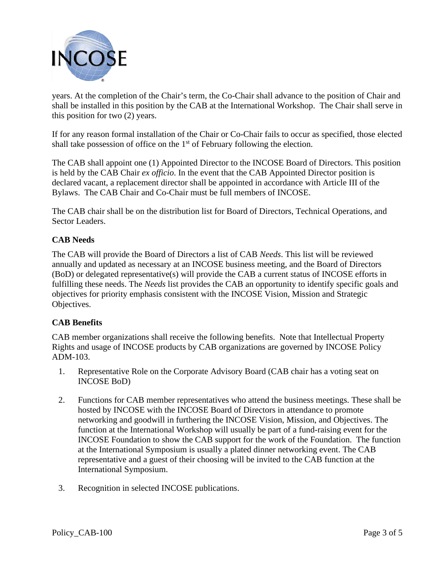

years. At the completion of the Chair's term, the Co-Chair shall advance to the position of Chair and shall be installed in this position by the CAB at the International Workshop. The Chair shall serve in this position for two (2) years.

If for any reason formal installation of the Chair or Co-Chair fails to occur as specified, those elected shall take possession of office on the  $1<sup>st</sup>$  of February following the election.

The CAB shall appoint one (1) Appointed Director to the INCOSE Board of Directors. This position is held by the CAB Chair *ex officio*. In the event that the CAB Appointed Director position is declared vacant, a replacement director shall be appointed in accordance with Article III of the Bylaws. The CAB Chair and Co-Chair must be full members of INCOSE.

The CAB chair shall be on the distribution list for Board of Directors, Technical Operations, and Sector Leaders.

# **CAB Needs**

The CAB will provide the Board of Directors a list of CAB *Needs*. This list will be reviewed annually and updated as necessary at an INCOSE business meeting, and the Board of Directors (BoD) or delegated representative(s) will provide the CAB a current status of INCOSE efforts in fulfilling these needs. The *Needs* list provides the CAB an opportunity to identify specific goals and objectives for priority emphasis consistent with the INCOSE Vision, Mission and Strategic Objectives.

# **CAB Benefits**

CAB member organizations shall receive the following benefits. Note that Intellectual Property Rights and usage of INCOSE products by CAB organizations are governed by INCOSE Policy ADM-103.

- 1. Representative Role on the Corporate Advisory Board (CAB chair has a voting seat on INCOSE BoD)
- 2. Functions for CAB member representatives who attend the business meetings. These shall be hosted by INCOSE with the INCOSE Board of Directors in attendance to promote networking and goodwill in furthering the INCOSE Vision, Mission, and Objectives. The function at the International Workshop will usually be part of a fund-raising event for the INCOSE Foundation to show the CAB support for the work of the Foundation. The function at the International Symposium is usually a plated dinner networking event. The CAB representative and a guest of their choosing will be invited to the CAB function at the International Symposium.
- 3. Recognition in selected INCOSE publications.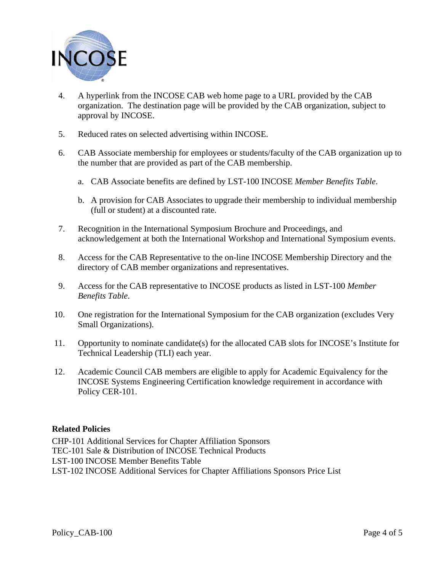

- 4. A hyperlink from the INCOSE CAB web home page to a URL provided by the CAB organization. The destination page will be provided by the CAB organization, subject to approval by INCOSE.
- 5. Reduced rates on selected advertising within INCOSE.
- 6. CAB Associate membership for employees or students/faculty of the CAB organization up to the number that are provided as part of the CAB membership.
	- a. CAB Associate benefits are defined by LST-100 INCOSE *Member Benefits Table*.
	- b. A provision for CAB Associates to upgrade their membership to individual membership (full or student) at a discounted rate.
- 7. Recognition in the International Symposium Brochure and Proceedings, and acknowledgement at both the International Workshop and International Symposium events.
- 8. Access for the CAB Representative to the on-line INCOSE Membership Directory and the directory of CAB member organizations and representatives.
- 9. Access for the CAB representative to INCOSE products as listed in LST-100 *Member Benefits Table*.
- 10. One registration for the International Symposium for the CAB organization (excludes Very Small Organizations).
- 11. Opportunity to nominate candidate(s) for the allocated CAB slots for INCOSE's Institute for Technical Leadership (TLI) each year.
- 12. Academic Council CAB members are eligible to apply for Academic Equivalency for the INCOSE Systems Engineering Certification knowledge requirement in accordance with Policy CER-101.

#### **Related Policies**

CHP-101 Additional Services for Chapter Affiliation Sponsors TEC-101 Sale & Distribution of INCOSE Technical Products LST-100 INCOSE Member Benefits Table LST-102 INCOSE Additional Services for Chapter Affiliations Sponsors Price List